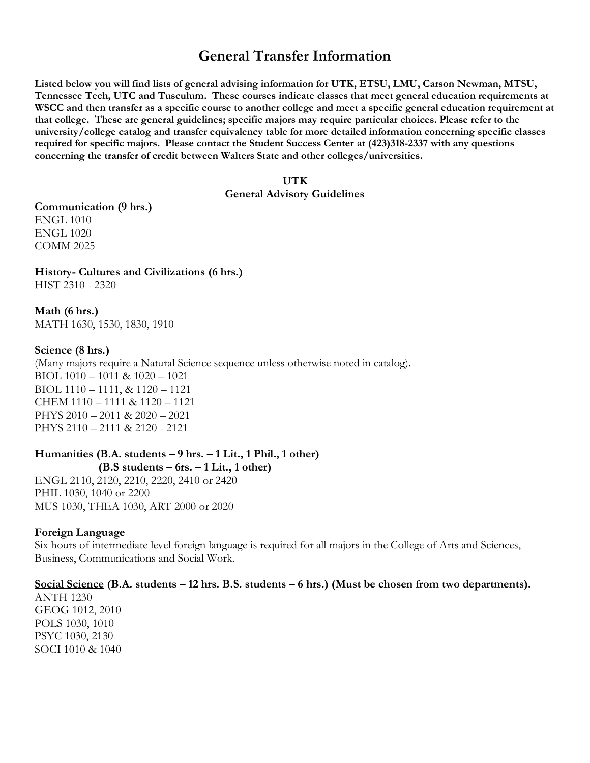# **General Transfer Information**

**Listed below you will find lists of general advising information for UTK, ETSU, LMU, Carson Newman, MTSU, Tennessee Tech, UTC and Tusculum. These courses indicate classes that meet general education requirements at WSCC and then transfer as a specific course to another college and meet a specific general education requirement at that college. These are general guidelines; specific majors may require particular choices. Please refer to the university/college catalog and transfer equivalency table for more detailed information concerning specific classes required for specific majors. Please contact the Student Success Center at (423)318-2337 with any questions concerning the transfer of credit between Walters State and other colleges/universities.** 

#### **UTK**

#### **General Advisory Guidelines**

#### **Communication (9 hrs.)** ENGL 1010

ENGL 1020 COMM 2025

#### **History- Cultures and Civilizations (6 hrs.)**

HIST 2310 - 2320

**Math (6 hrs.)** MATH 1630, 1530, 1830, 1910

#### **Science (8 hrs.)**

(Many majors require a Natural Science sequence unless otherwise noted in catalog). BIOL 1010 – 1011 & 1020 – 1021 BIOL 1110 – 1111, & 1120 – 1121 CHEM 1110 – 1111 & 1120 – 1121 PHYS 2010 – 2011 & 2020 – 2021 PHYS 2110 – 2111 & 2120 - 2121

#### **Humanities (B.A. students – 9 hrs. – 1 Lit., 1 Phil., 1 other) (B.S students – 6rs. – 1 Lit., 1 other)**

ENGL 2110, 2120, 2210, 2220, 2410 or 2420 PHIL 1030, 1040 or 2200 MUS 1030, THEA 1030, ART 2000 or 2020

#### **Foreign Language**

Six hours of intermediate level foreign language is required for all majors in the College of Arts and Sciences, Business, Communications and Social Work.

#### **Social Science (B.A. students – 12 hrs. B.S. students – 6 hrs.) (Must be chosen from two departments).**

ANTH 1230 GEOG 1012, 2010 POLS 1030, 1010 PSYC 1030, 2130 SOCI 1010 & 1040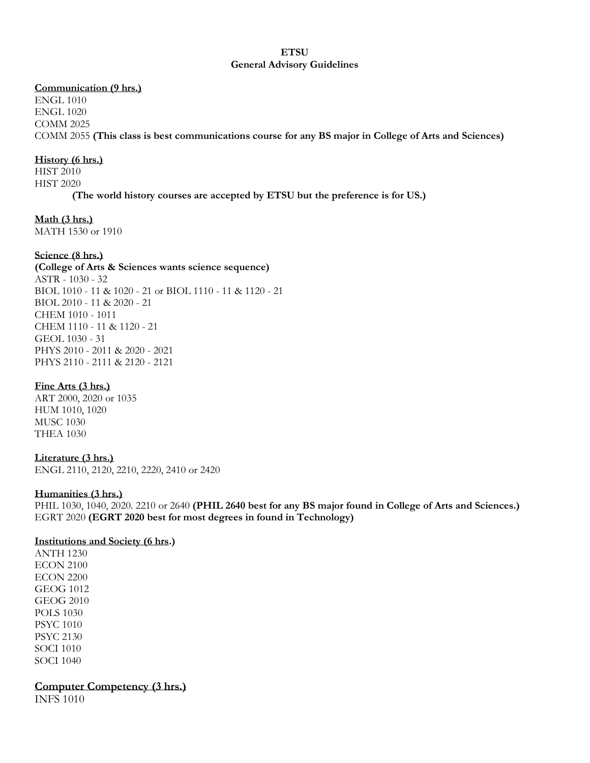#### **ETSU General Advisory Guidelines**

#### **Communication (9 hrs.)**

ENGL 1010 ENGL 1020 COMM 2025 COMM 2055 **(This class is best communications course for any BS major in College of Arts and Sciences)**

#### **History (6 hrs.)**

HIST 2010 HIST 2020 **(The world history courses are accepted by ETSU but the preference is for US.)**

#### **Math (3 hrs.)**

MATH 1530 or 1910

#### **Science (8 hrs.)**

**(College of Arts & Sciences wants science sequence)** ASTR - 1030 - 32 BIOL 1010 - 11 & 1020 - 21 or BIOL 1110 - 11 & 1120 - 21 BIOL 2010 - 11 & 2020 - 21 CHEM 1010 - 1011 CHEM 1110 - 11 & 1120 - 21 GEOL 1030 - 31 PHYS 2010 - 2011 & 2020 - 2021 PHYS 2110 - 2111 & 2120 - 2121

#### **Fine Arts (3 hrs.)**

ART 2000, 2020 or 1035 HUM 1010, 1020 MUSC 1030 THEA 1030

#### **Literature (3 hrs.)**

ENGL 2110, 2120, 2210, 2220, 2410 or 2420

#### **Humanities (3 hrs.)**

PHIL 1030, 1040, 2020. 2210 or 2640 **(PHIL 2640 best for any BS major found in College of Arts and Sciences.)** EGRT 2020 **(EGRT 2020 best for most degrees in found in Technology)**

#### **Institutions and Society (6 hrs.)**

ANTH 1230 ECON 2100 ECON 2200 GEOG 1012 GEOG 2010 POLS 1030 PSYC 1010 PSYC 2130 SOCI 1010 SOCI 1040

**Computer Competency (3 hrs.)**

INFS 1010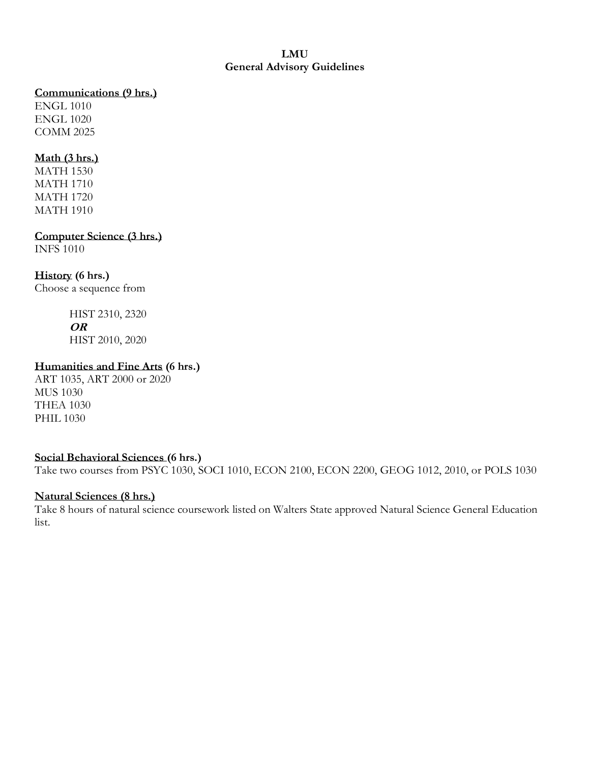### **LMU General Advisory Guidelines**

#### **Communications (9 hrs.)**

ENGL 1010 ENGL 1020 COMM 2025

### **Math (3 hrs.)**

MATH 1530 MATH 1710 MATH 1720 MATH 1910

**Computer Science (3 hrs.)** INFS 1010

### **History (6 hrs.)**

Choose a sequence from

HIST 2310, 2320 **OR** HIST 2010, 2020

#### **Humanities and Fine Arts (6 hrs.)**

ART 1035, ART 2000 or 2020 MUS 1030 THEA 1030 PHIL 1030

#### **Social Behavioral Sciences (6 hrs.)**

Take two courses from PSYC 1030, SOCI 1010, ECON 2100, ECON 2200, GEOG 1012, 2010, or POLS 1030

#### **Natural Sciences (8 hrs.)**

Take 8 hours of natural science coursework listed on Walters State approved Natural Science General Education list.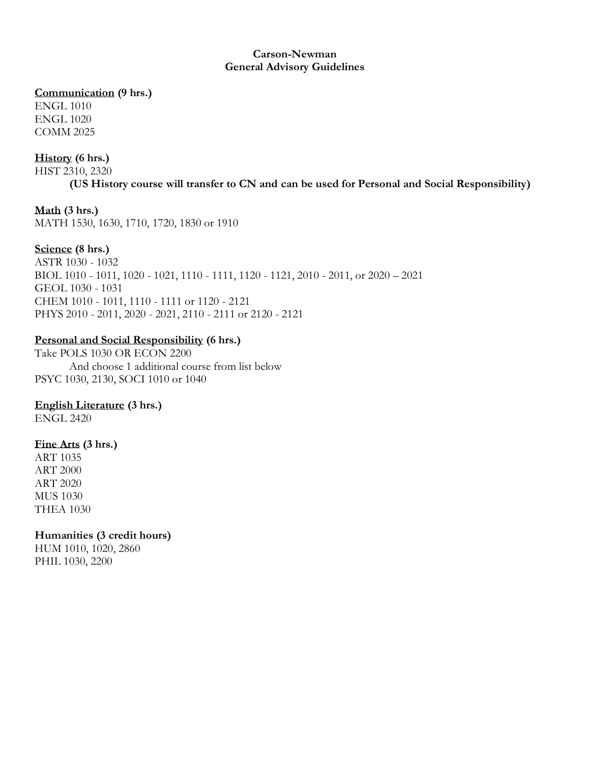#### **Carson-Newman General Advisory Guidelines**

#### **Communication (9 hrs.)**

ENGL 1010 ENGL 1020 COMM 2025

## **History (6 hrs.)**

HIST 2310, 2320

**(US History course will transfer to CN and can be used for Personal and Social Responsibility)**

## **Math (3 hrs.)**

MATH 1530, 1630, 1710, 1720, 1830 or 1910

## **Science (8 hrs.)**

ASTR 1030 - 1032 BIOL 1010 - 1011, 1020 - 1021, 1110 - 1111, 1120 - 1121, 2010 - 2011, or 2020 – 2021 GEOL 1030 - 1031 CHEM 1010 - 1011, 1110 - 1111 or 1120 - 2121 PHYS 2010 - 2011, 2020 - 2021, 2110 - 2111 or 2120 - 2121

## **Personal and Social Responsibility (6 hrs.)**

Take POLS 1030 OR ECON 2200 And choose 1 additional course from list below PSYC 1030, 2130, SOCI 1010 or 1040

## **English Literature (3 hrs.)**

ENGL 2420

## **Fine Arts (3 hrs.)**

ART 1035 ART 2000 ART 2020 MUS 1030 THEA 1030

## **Humanities (3 credit hours)**

HUM 1010, 1020, 2860 PHIL 1030, 2200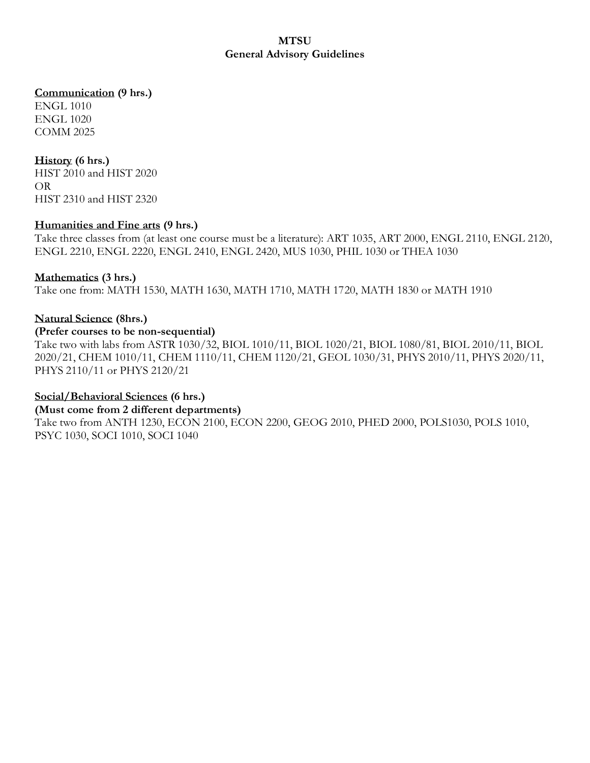### **MTSU General Advisory Guidelines**

### **Communication (9 hrs.)**

ENGL 1010 ENGL 1020 COMM 2025

### **History (6 hrs.)**

HIST 2010 and HIST 2020 OR HIST 2310 and HIST 2320

### **Humanities and Fine arts (9 hrs.)**

Take three classes from (at least one course must be a literature): ART 1035, ART 2000, ENGL 2110, ENGL 2120, ENGL 2210, ENGL 2220, ENGL 2410, ENGL 2420, MUS 1030, PHIL 1030 or THEA 1030

### **Mathematics (3 hrs.)**

Take one from: MATH 1530, MATH 1630, MATH 1710, MATH 1720, MATH 1830 or MATH 1910

### **Natural Science (8hrs.)**

#### **(Prefer courses to be non-sequential)**

Take two with labs from ASTR 1030/32, BIOL 1010/11, BIOL 1020/21, BIOL 1080/81, BIOL 2010/11, BIOL 2020/21, CHEM 1010/11, CHEM 1110/11, CHEM 1120/21, GEOL 1030/31, PHYS 2010/11, PHYS 2020/11, PHYS 2110/11 or PHYS 2120/21

#### **Social/Behavioral Sciences (6 hrs.)**

#### **(Must come from 2 different departments)**

Take two from ANTH 1230, ECON 2100, ECON 2200, GEOG 2010, PHED 2000, POLS1030, POLS 1010, PSYC 1030, SOCI 1010, SOCI 1040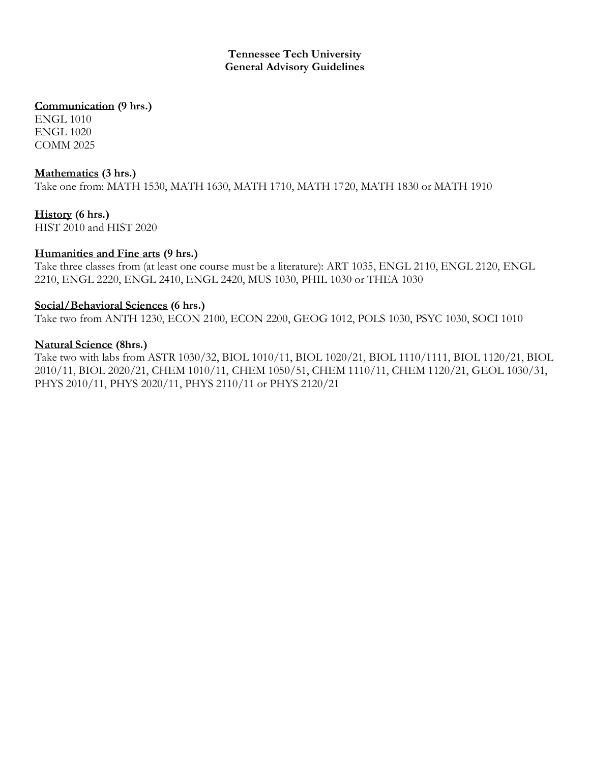#### **Tennessee Tech University General Advisory Guidelines**

## **Communication (9 hrs.)**

ENGL 1010 ENGL 1020 COMM 2025

### **Mathematics (3 hrs.)**

Take one from: MATH 1530, MATH 1630, MATH 1710, MATH 1720, MATH 1830 or MATH 1910

**History (6 hrs.)** HIST 2010 and HIST 2020

### **Humanities and Fine arts (9 hrs.)**

Take three classes from (at least one course must be a literature): ART 1035, ENGL 2110, ENGL 2120, ENGL 2210, ENGL 2220, ENGL 2410, ENGL 2420, MUS 1030, PHIL 1030 or THEA 1030

### **Social/Behavioral Sciences (6 hrs.)**

Take two from ANTH 1230, ECON 2100, ECON 2200, GEOG 1012, POLS 1030, PSYC 1030, SOCI 1010

### **Natural Science (8hrs.)**

Take two with labs from ASTR 1030/32, BIOL 1010/11, BIOL 1020/21, BIOL 1110/1111, BIOL 1120/21, BIOL 2010/11, BIOL 2020/21, CHEM 1010/11, CHEM 1050/51, CHEM 1110/11, CHEM 1120/21, GEOL 1030/31, PHYS 2010/11, PHYS 2020/11, PHYS 2110/11 or PHYS 2120/21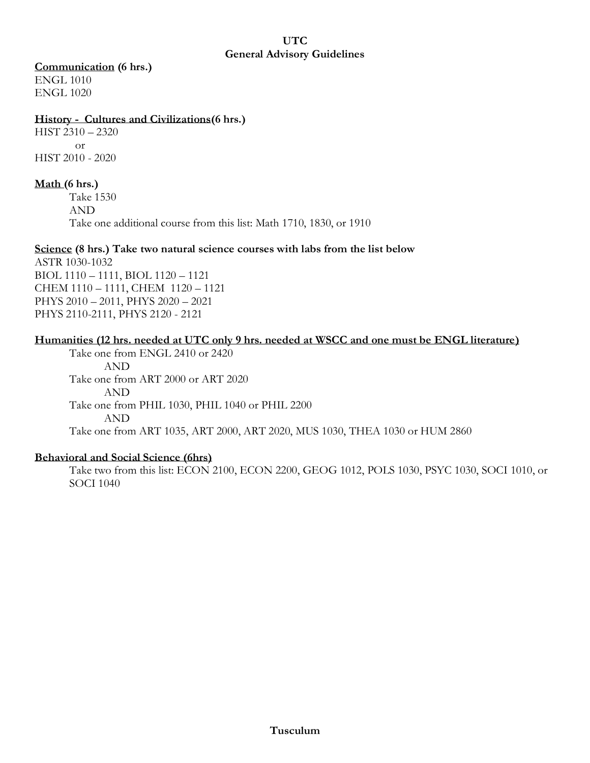#### **UTC General Advisory Guidelines**

### **Communication (6 hrs.)**

ENGL 1010 ENGL 1020

### **History - Cultures and Civilizations(6 hrs.)**

HIST 2310 – 2320 or HIST 2010 - 2020

## **Math (6 hrs.)**

Take 1530 AND Take one additional course from this list: Math 1710, 1830, or 1910

### **Science (8 hrs.) Take two natural science courses with labs from the list below**

ASTR 1030-1032 BIOL 1110 – 1111, BIOL 1120 – 1121 CHEM 1110 – 1111, CHEM 1120 – 1121 PHYS 2010 – 2011, PHYS 2020 – 2021 PHYS 2110-2111, PHYS 2120 - 2121

## **Humanities (12 hrs. needed at UTC only 9 hrs. needed at WSCC and one must be ENGL literature)**

Take one from ENGL 2410 or 2420 AND Take one from ART 2000 or ART 2020 AND Take one from PHIL 1030, PHIL 1040 or PHIL 2200 AND Take one from ART 1035, ART 2000, ART 2020, MUS 1030, THEA 1030 or HUM 2860

### **Behavioral and Social Science (6hrs)**

Take two from this list: ECON 2100, ECON 2200, GEOG 1012, POLS 1030, PSYC 1030, SOCI 1010, or SOCI 1040